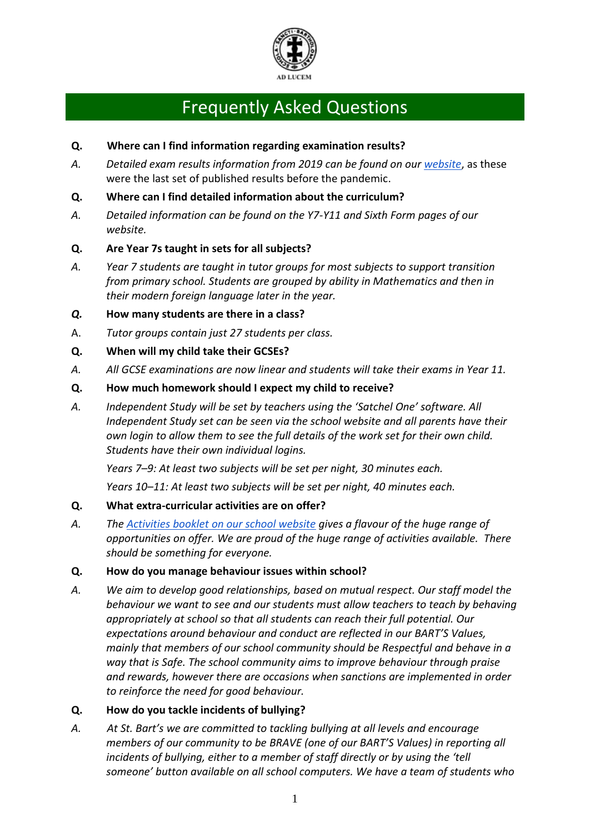

# Frequently Asked Questions

## **Q. Where can I find information regarding examination results?**

*A. Detailed exam results information from 2019 can be found on our [website](https://www.stbarts.co.uk/about-2/exams/)*, as these were the last set of published results before the pandemic.

### **Q. Where can I find detailed information about the curriculum?**

*A. Detailed information can be found on the Y7-Y11 and Sixth Form pages of our website.*

## **Q. Are Year 7s taught in sets for all subjects?**

*A. Year 7 students are taught in tutor groups for most subjects to support transition from primary school. Students are grouped by ability in Mathematics and then in their modern foreign language later in the year.*

## *Q.* **How many students are there in a class?**

- A. *Tutor groups contain just 27 students per class.*
- **Q. When will my child take their GCSEs?**
- *A. All GCSE examinations are now linear and students will take their exams in Year 11.*

#### **Q. How much homework should I expect my child to receive?**

*A. Independent Study will be set by teachers using the 'Satchel One' software. All Independent Study set can be seen via the school website and all parents have their own login to allow them to see the full details of the work set for their own child. Students have their own individual logins.*

*Years 7–9: At least two subjects will be set per night, 30 minutes each.*

*Years 10–11: At least two subjects will be set per night, 40 minutes each.*

#### **Q. What extra-curricular activities are on offer?**

*A. The [Activities booklet on our school website](http://www.stbarts.co.uk/wp-content/uploads/2019/09/Activity-Booklet-19-20.pdf) gives a flavour of the huge range of opportunities on offer. We are proud of the huge range of activities available. There should be something for everyone.*

#### **Q. How do you manage behaviour issues within school?**

*A. We aim to develop good relationships, based on mutual respect. Our staff model the behaviour we want to see and our students must allow teachers to teach by behaving appropriately at school so that all students can reach their full potential. Our expectations around behaviour and conduct are reflected in our BART'S Values, mainly that members of our school community should be Respectful and behave in a way that is Safe. The school community aims to improve behaviour through praise and rewards, however there are occasions when sanctions are implemented in order to reinforce the need for good behaviour.* 

#### **Q. How do you tackle incidents of bullying?**

*A. At St. Bart's we are committed to tackling bullying at all levels and encourage members of our community to be BRAVE (one of our BART'S Values) in reporting all incidents of bullying, either to a member of staff directly or by using the 'tell someone' button available on all school computers. We have a team of students who*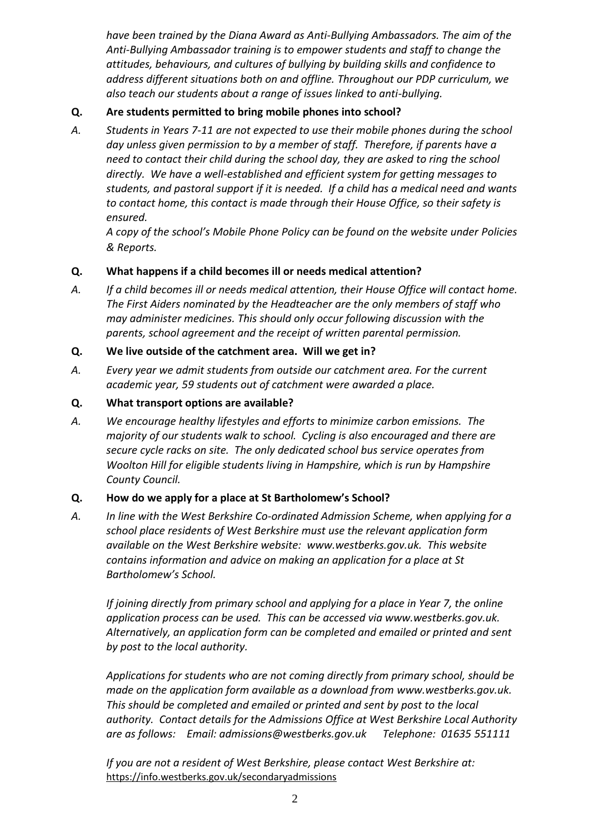*have been trained by the Diana Award as Anti-Bullying Ambassadors. The aim of the Anti-Bullying Ambassador training is to empower students and staff to change the attitudes, behaviours, and cultures of bullying by building skills and confidence to address different situations both on and offline. Throughout our PDP curriculum, we also teach our students about a range of issues linked to anti-bullying.*

## **Q. Are students permitted to bring mobile phones into school?**

*A. Students in Years 7-11 are not expected to use their mobile phones during the school day unless given permission to by a member of staff. Therefore, if parents have a need to contact their child during the school day, they are asked to ring the school directly. We have a well-established and efficient system for getting messages to students, and pastoral support if it is needed. If a child has a medical need and wants to contact home, this contact is made through their House Office, so their safety is ensured.*

*A copy of the school's Mobile Phone Policy can be found on the website under Policies & Reports.*

## **Q. What happens if a child becomes ill or needs medical attention?**

*A. If a child becomes ill or needs medical attention, their House Office will contact home. The First Aiders nominated by the Headteacher are the only members of staff who may administer medicines. This should only occur following discussion with the parents, school agreement and the receipt of written parental permission.*

#### **Q. We live outside of the catchment area. Will we get in?**

- *A. Every year we admit students from outside our catchment area. For the current academic year, 59 students out of catchment were awarded a place.*
- **Q. What transport options are available?**
- *A. We encourage healthy lifestyles and efforts to minimize carbon emissions. The majority of our students walk to school. Cycling is also encouraged and there are secure cycle racks on site. The only dedicated school bus service operates from Woolton Hill for eligible students living in Hampshire, which is run by Hampshire County Council.*

#### **Q. How do we apply for a place at St Bartholomew's School?**

*A. In line with the West Berkshire Co-ordinated Admission Scheme, when applying for a school place residents of West Berkshire must use the relevant application form available on the West Berkshire website: [www.westberks.gov.uk.](http://www.westberks.gov.uk/) This website contains information and advice on making an application for a place at St Bartholomew's School.*

*If joining directly from primary school and applying for a place in Year 7, the online application process can be used. This can be accessed via www.westberks.gov.uk. Alternatively, an application form can be completed and emailed or printed and sent by post to the local authority.*

*Applications for students who are not coming directly from primary school, should be made on the application form available as a download from [www.westberks.gov.uk.](http://www.westberks.gov.uk/) This should be completed and emailed or printed and sent by post to the local authority. Contact details for the Admissions Office at West Berkshire Local Authority are as follows: Email: admissions@westberks.gov.uk Telephone: 01635 551111*

*If you are not a resident of West Berkshire, please contact West Berkshire at:* <https://info.westberks.gov.uk/secondaryadmissions>